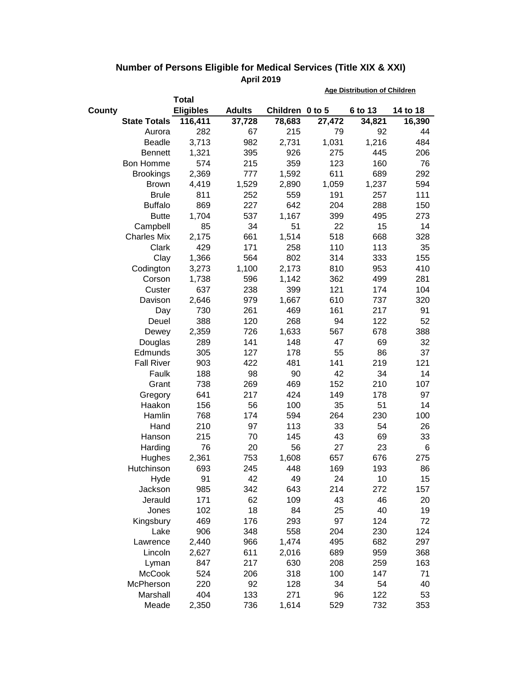|                     |                  |               |                 | <b>Age Distribution of Children</b> |         |          |  |
|---------------------|------------------|---------------|-----------------|-------------------------------------|---------|----------|--|
|                     | <b>Total</b>     |               |                 |                                     |         |          |  |
| County              | <b>Eligibles</b> | <b>Adults</b> | Children 0 to 5 |                                     | 6 to 13 | 14 to 18 |  |
| <b>State Totals</b> | 116,411          | 37,728        | 78,683          | 27,472                              | 34,821  | 16,390   |  |
| Aurora              | 282              | 67            | 215             | 79                                  | 92      | 44       |  |
| <b>Beadle</b>       | 3,713            | 982           | 2,731           | 1,031                               | 1,216   | 484      |  |
| <b>Bennett</b>      | 1,321            | 395           | 926             | 275                                 | 445     | 206      |  |
| Bon Homme           | 574              | 215           | 359             | 123                                 | 160     | 76       |  |
| <b>Brookings</b>    | 2,369            | 777           | 1,592           | 611                                 | 689     | 292      |  |
| <b>Brown</b>        | 4,419            | 1,529         | 2,890           | 1,059                               | 1,237   | 594      |  |
| <b>Brule</b>        | 811              | 252           | 559             | 191                                 | 257     | 111      |  |
| <b>Buffalo</b>      | 869              | 227           | 642             | 204                                 | 288     | 150      |  |
| <b>Butte</b>        | 1,704            | 537           | 1,167           | 399                                 | 495     | 273      |  |
| Campbell            | 85               | 34            | 51              | 22                                  | 15      | 14       |  |
| <b>Charles Mix</b>  | 2,175            | 661           | 1,514           | 518                                 | 668     | 328      |  |
| Clark               | 429              | 171           | 258             | 110                                 | 113     | 35       |  |
| Clay                | 1,366            | 564           | 802             | 314                                 | 333     | 155      |  |
| Codington           | 3,273            | 1,100         | 2,173           | 810                                 | 953     | 410      |  |
| Corson              | 1,738            | 596           | 1,142           | 362                                 | 499     | 281      |  |
| Custer              | 637              | 238           | 399             | 121                                 | 174     | 104      |  |
| Davison             | 2,646            | 979           | 1,667           | 610                                 | 737     | 320      |  |
| Day                 | 730              | 261           | 469             | 161                                 | 217     | 91       |  |
| Deuel               | 388              | 120           | 268             | 94                                  | 122     | 52       |  |
| Dewey               | 2,359            | 726           | 1,633           | 567                                 | 678     | 388      |  |
| Douglas             | 289              | 141           | 148             | 47                                  | 69      | 32       |  |
| Edmunds             | 305              | 127           | 178             | 55                                  | 86      | 37       |  |
| <b>Fall River</b>   | 903              | 422           | 481             | 141                                 | 219     | 121      |  |
| Faulk               | 188              | 98            | 90              | 42                                  | 34      | 14       |  |
| Grant               | 738              | 269           | 469             | 152                                 | 210     | 107      |  |
| Gregory             | 641              | 217           | 424             | 149                                 | 178     | 97       |  |
| Haakon              | 156              | 56            | 100             | 35                                  | 51      | 14       |  |
| Hamlin              | 768              | 174           | 594             | 264                                 | 230     | 100      |  |
| Hand                | 210              | 97            | 113             | 33                                  | 54      | 26       |  |
| Hanson              | 215              | 70            | 145             | 43                                  | 69      | 33       |  |
| Harding             | 76               | 20            | 56              | 27                                  | 23      | 6        |  |
| Hughes              | 2,361            | 753           | 1,608           | 657                                 | 676     | 275      |  |
| Hutchinson          | 693              | 245           | 448             | 169                                 | 193     | 86       |  |
| Hyde                | 91               | 42            | 49              | 24                                  | 10      | 15       |  |
| Jackson             | 985              | 342           | 643             | 214                                 | 272     | 157      |  |
| Jerauld             | 171              | 62            | 109             | 43                                  | 46      | 20       |  |
| Jones               | 102              | 18            | 84              | 25                                  | 40      | 19       |  |
| Kingsbury           | 469              | 176           | 293             | 97                                  | 124     | 72       |  |
| Lake                | 906              | 348           | 558             | 204                                 | 230     | 124      |  |
| Lawrence            | 2,440            | 966           | 1,474           | 495                                 | 682     | 297      |  |
| Lincoln             | 2,627            | 611           | 2,016           | 689                                 | 959     | 368      |  |
| Lyman               | 847              | 217           | 630             | 208                                 | 259     | 163      |  |
| <b>McCook</b>       | 524              | 206           | 318             | 100                                 | 147     | 71       |  |
| McPherson           | 220              | 92            | 128             | 34                                  | 54      | 40       |  |
| Marshall            | 404              | 133           | 271             | 96                                  | 122     | 53       |  |
| Meade               | 2,350            | 736           | 1,614           | 529                                 | 732     | 353      |  |

## **Number of Persons Eligible for Medical Services (Title XIX & XXI) April 2019**